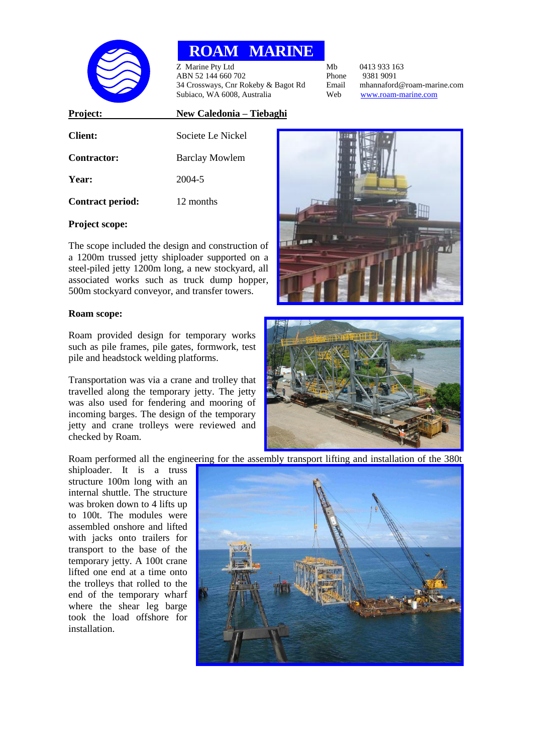

# **ROAM MARINE**

z Marine Pty Ltd<br>
ABN 52 144 660 702<br>
Phone 9381 9091 ABN 52 144 660 702<br>
34 Crossways, Cnr Rokeby & Bagot Rd
Benail
Phone
9381 9091
<br>
24 Crossways, Cnr Rokeby & Bagot Rd
Benail
Phone
mannaford
@roam-marine.com 34 Crossways, Cnr Rokeby & Bagot Rd Email Subiaco. WA 6008. Australia. The marine. Subiaco, WA 6008, Australia Web www.roam-marine.com

# **Client:** Societe Le Nickel **Contractor:** Barclay Mowlem **Year:** 2004-5 **Contract period:** 12 months

**Project: New Caledonia – Tiebaghi**

## **Project scope:**

The scope included the design and construction of a 1200m trussed jetty shiploader supported on a steel-piled jetty 1200m long, a new stockyard, all associated works such as truck dump hopper, 500m stockyard conveyor, and transfer towers.

### **Roam scope:**

Roam provided design for temporary works such as pile frames, pile gates, formwork, test pile and headstock welding platforms.

Transportation was via a crane and trolley that travelled along the temporary jetty. The jetty was also used for fendering and mooring of incoming barges. The design of the temporary jetty and crane trolleys were reviewed and checked by Roam.





Roam performed all the engineering for the assembly transport lifting and installation of the 380t

shiploader. It is a truss structure 100m long with an internal shuttle. The structure was broken down to 4 lifts up to 100t. The modules were assembled onshore and lifted with jacks onto trailers for transport to the base of the temporary jetty. A 100t crane lifted one end at a time onto the trolleys that rolled to the end of the temporary wharf where the shear leg barge took the load offshore for installation.